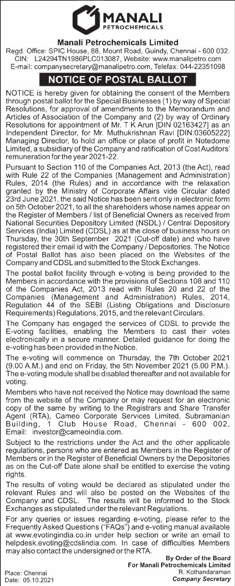

## **Manali Petrochemicals Limited**

Regd. Office: SPIC House, 88, Mount Road, Guindy, Chennai - 600 032. GIN: L24294TN1986PLC013087, Website: www.manalipetro.com E-mail: companysecretary@manalipetro.com, Telefax: 044-22351098

## **NOTICE OF POSTAL BALLOT**

NOTICE is hereby given for obtaining the consent of the Members through postal ballot for the Special Businesses (1) by way of Special Resolutions, for approval of amendments to the Memorandum and Articles of Association of the Company and (2) by way of Ordinary Resolutions for appointment of Mr. T K Arun [DIN 02163427] as an Independent Director, for Mr. Muthukrishnan Ravi [DIN:03605222] Managing Director, to hold an office or place of profit in Notedome Limited, a subsidiary of the Company and ratification of Cost Auditors' remuneration for the year 2021-22.

Pursuant to Section 110 of the Companies Act, 2013 (the Act), read with Rule 22 of the Companies (Management and Administration) Rules, 2014 (the Rules) and in accordance with the relaxation granted by the Ministry of Corporate Affairs vide Circular dated<br>23rd June 2021, the said Notice has been sent only in electronic form on 5th October 2021, to all the shareholders whose names appear on the Register of Members/ list of Beneficial Owners as received from National Securities Depository Limited (NSDL) / Central Depository Services (India) Limited (CDSL) as at the close of business hours on Thursday, the 30th September 2021 (Cut-off date) and who have registered their email id with the Company *I* Depositories. The Notice of Postal Ballot has also been placed on the Websites of the Company and CDSL and submitted to the Stock Exchanges.

The postal ballot facility through e-voting is being provided to the Members in accordance with the provisions of Sections 108 and 110 of the Companies Act, 2013 read with Rules 20 and 22 of the Companies (Management and Administration) Rules, 2014, Regulation 44 of the SEBI (Listing Obligations and Disclosure Requirements) Regulations, 2015, and the relevant Circulars.

The Company has engaged the services of CDSL to provide the E-voting facilities, enabling the Members to cast their votes electronically in a secure manner. Detailed guidance for doing the e-voting has been provided in the Notice.

The e-voting will commence on Thursday, the 7th October 2021 (9.00 A.M.) and end on Friday, the 5th November 2021 (5.00 P.M.). The e-voting module shall be disabled thereafter and not available for voting.

Members who have not received the Notice may download the same from the website of the Company or may request for an electronic copy of the same by writing to the Registrars and Share Transfer Agent (RTA), Cameo Corporate Services Limited, Subramanian Building, 1 Club House Road, Chennai - 600 002, Email: investor@cameoindia.com.

Subject to the restrictions under the Act and the other applicable regulations, persons who are entered as Members in the Register of Members or in the Register of Beneficial Owners by the Depositories as on the Cut-off Date alone shall be entitled to exercise the voting rights.

The results of voting would be declared as stipulated under the relevant Rules and will also be posted on the Websites of the Company and CDSL. The results will be informed to the Stock Exchanges as stipulated under the relevant Regulations.

For any queries or issues regarding e-voting, please refer to the Frequently Asked Questions ("FAQs") and e-voting manual available at www.evotingindia.co.in under help section or write an email to helpdesk.evoting@cdslindia.com. In case of difficulties Members may also contact the undersigned or the RTA.

**By Order of the Board For Manali Petrochemicals Limited R. Kothandaraman**  *Company Secretary* 

Place: Chennai Date: 05.10.2021